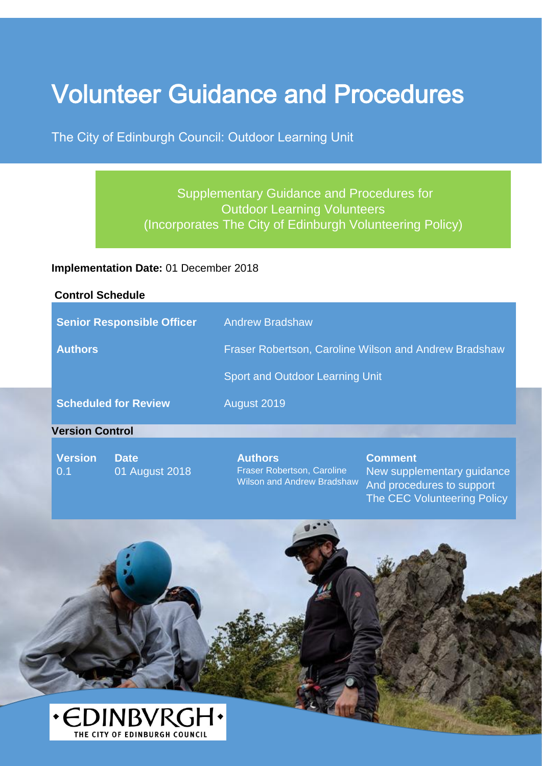# Volunteer Guidance and Procedures

The City of Edinburgh Council: Outdoor Learning Unit

# Supplementary Guidance and Procedures for Outdoor Learning Volunteers (Incorporates The City of Edinburgh Volunteering Policy)

#### **Implementation Date:** 01 December 2018

#### **Control Schedule**

|                             | <b>Senior Responsible Officer</b> | <b>Andrew Bradshaw</b>                                       |                                              |
|-----------------------------|-----------------------------------|--------------------------------------------------------------|----------------------------------------------|
| <b>Authors</b>              |                                   | <b>Fraser Robertson, Caroline Wilson and Andrew Bradshaw</b> |                                              |
|                             |                                   | Sport and Outdoor Learning Unit                              |                                              |
| <b>Scheduled for Review</b> |                                   | August 2019                                                  |                                              |
| <b>Version Control</b>      |                                   |                                                              |                                              |
| <b>Version</b><br>0.1       | <b>Date</b><br>01 August 2018     | <b>Authors</b><br><b>Fraser Robertson, Caroline</b>          | <b>Comment</b><br>New supplementary guidance |

Wilson and Andrew Bradshaw New supplementary guidance And procedures to support The CEC Volunteering Policy

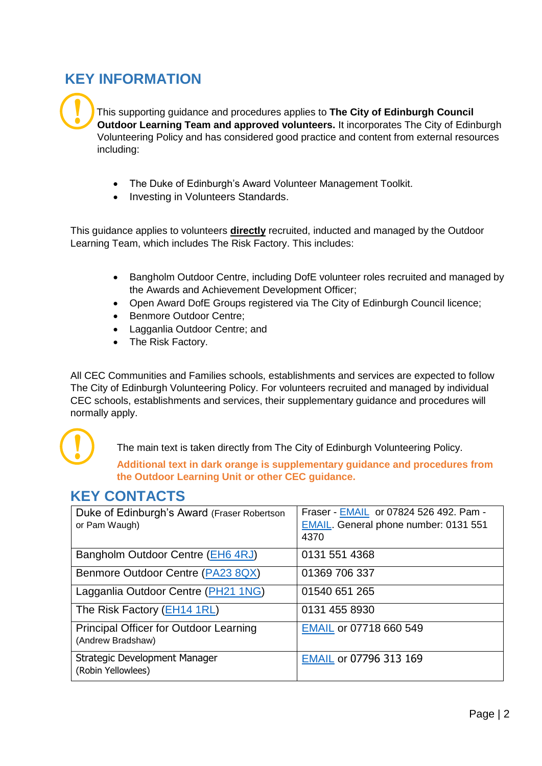# <span id="page-1-0"></span>**KEY INFORMATION**

!

This supporting guidance and procedures applies to **The City of Edinburgh Council Outdoor Learning Team and approved volunteers.** It incorporates The City of Edinburgh Volunteering Policy and has considered good practice and content from external resources including:

- The Duke of Edinburgh's Award Volunteer Management Toolkit.
- Investing in Volunteers Standards.

This guidance applies to volunteers **directly** recruited, inducted and managed by the Outdoor Learning Team, which includes The Risk Factory. This includes:

- Bangholm Outdoor Centre, including DofE volunteer roles recruited and managed by the Awards and Achievement Development Officer;
- Open Award DofE Groups registered via The City of Edinburgh Council licence;
- Benmore Outdoor Centre;
- Lagganlia Outdoor Centre; and
- The Risk Factory.

All CEC Communities and Families schools, establishments and services are expected to follow The City of Edinburgh Volunteering Policy. For volunteers recruited and managed by individual CEC schools, establishments and services, their supplementary guidance and procedures will normally apply.



The main text is taken directly from The City of Edinburgh Volunteering Policy.

**Additional text in dark orange is supplementary guidance and procedures from the Outdoor Learning Unit or other CEC guidance.** 

# <span id="page-1-1"></span>**KEY CONTACTS**

| Duke of Edinburgh's Award (Fraser Robertson<br>or Pam Waugh) | Fraser - EMAIL or 07824 526 492. Pam -<br><b>EMAIL.</b> General phone number: 0131 551<br>4370 |
|--------------------------------------------------------------|------------------------------------------------------------------------------------------------|
| Bangholm Outdoor Centre (EH6 4RJ)                            | 0131 551 4368                                                                                  |
| Benmore Outdoor Centre (PA23 8QX)                            | 01369 706 337                                                                                  |
| Lagganlia Outdoor Centre (PH21 1NG)                          | 01540 651 265                                                                                  |
| The Risk Factory (EH14 1RL)                                  | 0131 455 8930                                                                                  |
| Principal Officer for Outdoor Learning<br>(Andrew Bradshaw)  | EMAIL or 07718 660 549                                                                         |
| Strategic Development Manager<br>(Robin Yellowlees)          | EMAIL or 07796 313 169                                                                         |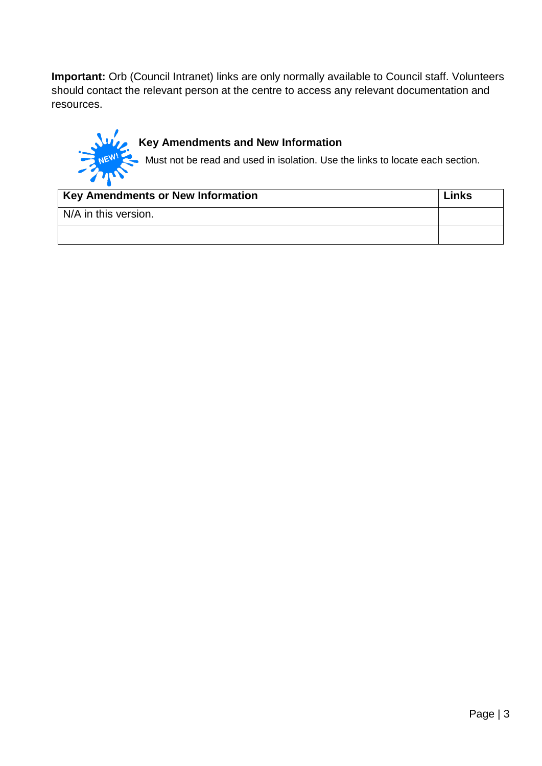**Important:** Orb (Council Intranet) links are only normally available to Council staff. Volunteers should contact the relevant person at the centre to access any relevant documentation and resources.



# **Key Amendments and New Information**

Must not be read and used in isolation. Use the links to locate each section.

| Key Amendments or New Information | Links |
|-----------------------------------|-------|
| N/A in this version.              |       |
|                                   |       |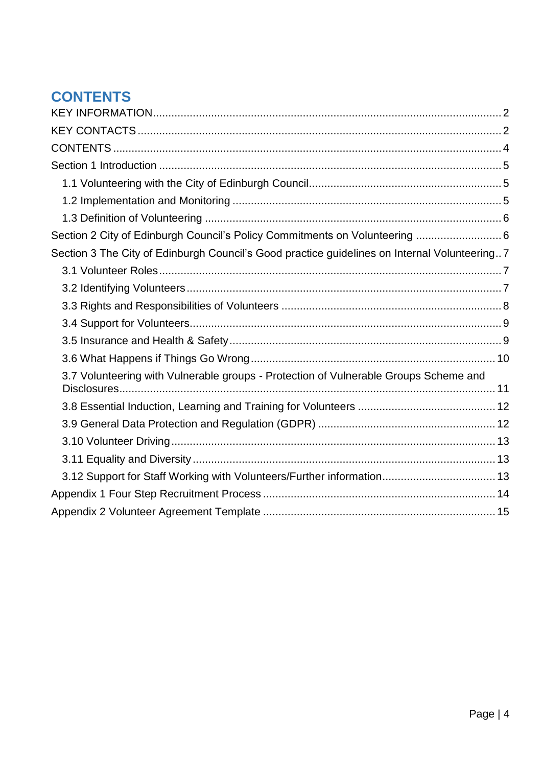# <span id="page-3-0"></span>**CONTENTS**

| Section 2 City of Edinburgh Council's Policy Commitments on Volunteering  6                  |
|----------------------------------------------------------------------------------------------|
| Section 3 The City of Edinburgh Council's Good practice guidelines on Internal Volunteering7 |
|                                                                                              |
|                                                                                              |
|                                                                                              |
|                                                                                              |
|                                                                                              |
|                                                                                              |
| 3.7 Volunteering with Vulnerable groups - Protection of Vulnerable Groups Scheme and         |
|                                                                                              |
|                                                                                              |
|                                                                                              |
|                                                                                              |
| 3.12 Support for Staff Working with Volunteers/Further information 13                        |
|                                                                                              |
|                                                                                              |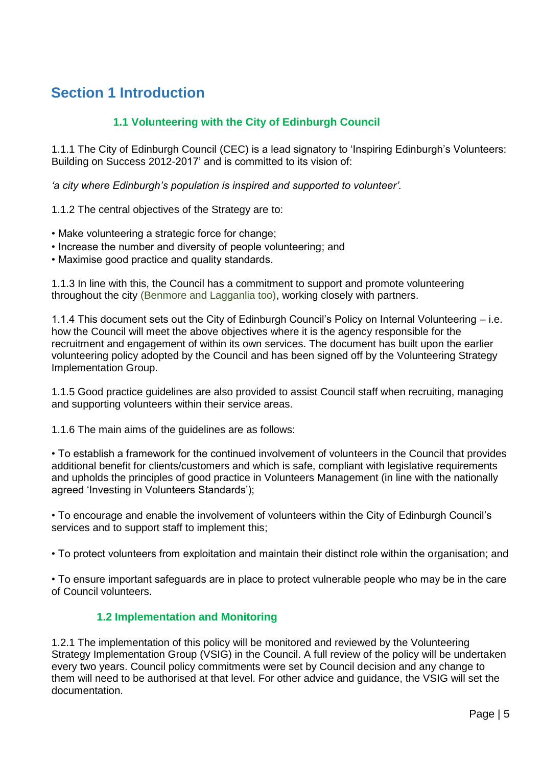# <span id="page-4-0"></span>**Section 1 Introduction**

### **1.1 Volunteering with the City of Edinburgh Council**

<span id="page-4-1"></span>1.1.1 The City of Edinburgh Council (CEC) is a lead signatory to 'Inspiring Edinburgh's Volunteers: Building on Success 2012-2017' and is committed to its vision of:

*'a city where Edinburgh's population is inspired and supported to volunteer'.* 

1.1.2 The central objectives of the Strategy are to:

- Make volunteering a strategic force for change;
- Increase the number and diversity of people volunteering; and
- Maximise good practice and quality standards.

1.1.3 In line with this, the Council has a commitment to support and promote volunteering throughout the city (Benmore and Lagganlia too), working closely with partners.

1.1.4 This document sets out the City of Edinburgh Council's Policy on Internal Volunteering – i.e. how the Council will meet the above objectives where it is the agency responsible for the recruitment and engagement of within its own services. The document has built upon the earlier volunteering policy adopted by the Council and has been signed off by the Volunteering Strategy Implementation Group.

1.1.5 Good practice guidelines are also provided to assist Council staff when recruiting, managing and supporting volunteers within their service areas.

1.1.6 The main aims of the guidelines are as follows:

• To establish a framework for the continued involvement of volunteers in the Council that provides additional benefit for clients/customers and which is safe, compliant with legislative requirements and upholds the principles of good practice in Volunteers Management (in line with the nationally agreed 'Investing in Volunteers Standards');

• To encourage and enable the involvement of volunteers within the City of Edinburgh Council's services and to support staff to implement this;

• To protect volunteers from exploitation and maintain their distinct role within the organisation; and

• To ensure important safeguards are in place to protect vulnerable people who may be in the care of Council volunteers.

### **1.2 Implementation and Monitoring**

<span id="page-4-2"></span>1.2.1 The implementation of this policy will be monitored and reviewed by the Volunteering Strategy Implementation Group (VSIG) in the Council. A full review of the policy will be undertaken every two years. Council policy commitments were set by Council decision and any change to them will need to be authorised at that level. For other advice and guidance, the VSIG will set the documentation.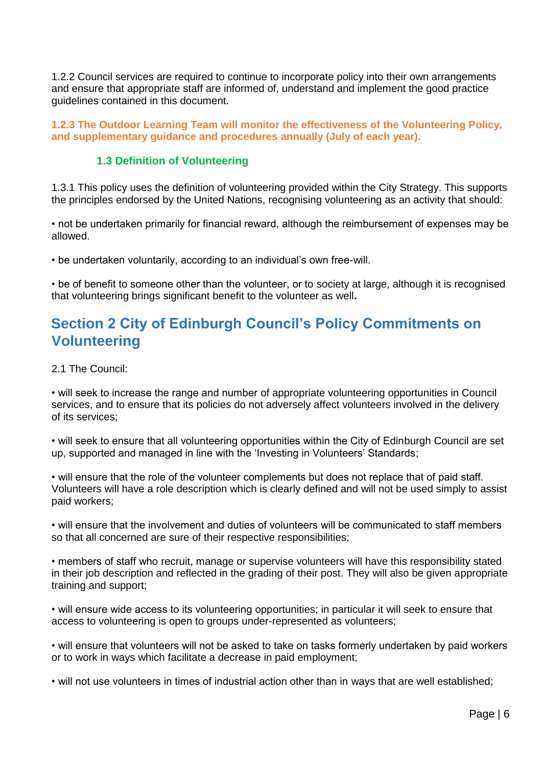1.2.2 Council services are required to continue to incorporate policy into their own arrangements and ensure that appropriate staff are informed of, understand and implement the good practice guidelines contained in this document.

**1.2.3 The Outdoor Learning Team will monitor the effectiveness of the Volunteering Policy, and supplementary guidance and procedures annually (July of each year).** 

#### **1.3 Definition of Volunteering**

<span id="page-5-0"></span>1.3.1 This policy uses the definition of volunteering provided within the City Strategy. This supports the principles endorsed by the United Nations, recognising volunteering as an activity that should:

• not be undertaken primarily for financial reward, although the reimbursement of expenses may be allowed.

• be undertaken voluntarily, according to an individual's own free-will.

• be of benefit to someone other than the volunteer, or to society at large, although it is recognised that volunteering brings significant benefit to the volunteer as well**.** 

# <span id="page-5-1"></span>**Section 2 City of Edinburgh Council's Policy Commitments on Volunteering**

2.1 The Council:

• will seek to increase the range and number of appropriate volunteering opportunities in Council services, and to ensure that its policies do not adversely affect volunteers involved in the delivery of its services;

• will seek to ensure that all volunteering opportunities within the City of Edinburgh Council are set up, supported and managed in line with the 'Investing in Volunteers' Standards;

• will ensure that the role of the volunteer complements but does not replace that of paid staff. Volunteers will have a role description which is clearly defined and will not be used simply to assist paid workers;

• will ensure that the involvement and duties of volunteers will be communicated to staff members so that all concerned are sure of their respective responsibilities;

• members of staff who recruit, manage or supervise volunteers will have this responsibility stated in their job description and reflected in the grading of their post. They will also be given appropriate training and support;

• will ensure wide access to its volunteering opportunities; in particular it will seek to ensure that access to volunteering is open to groups under-represented as volunteers;

• will ensure that volunteers will not be asked to take on tasks formerly undertaken by paid workers or to work in ways which facilitate a decrease in paid employment;

• will not use volunteers in times of industrial action other than in ways that are well established;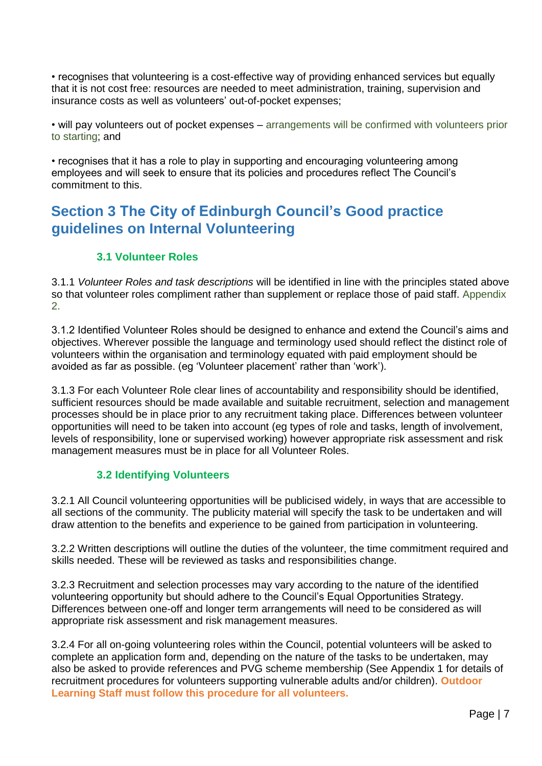• recognises that volunteering is a cost-effective way of providing enhanced services but equally that it is not cost free: resources are needed to meet administration, training, supervision and insurance costs as well as volunteers' out-of-pocket expenses;

• will pay volunteers out of pocket expenses – arrangements will be confirmed with volunteers prior to starting; and

• recognises that it has a role to play in supporting and encouraging volunteering among employees and will seek to ensure that its policies and procedures reflect The Council's commitment to this.

# <span id="page-6-0"></span>**Section 3 The City of Edinburgh Council's Good practice guidelines on Internal Volunteering**

#### **3.1 Volunteer Roles**

<span id="page-6-1"></span>3.1.1 *Volunteer Roles and task descriptions* will be identified in line with the principles stated above so that volunteer roles compliment rather than supplement or replace those of paid staff. Appendix 2.

3.1.2 Identified Volunteer Roles should be designed to enhance and extend the Council's aims and objectives. Wherever possible the language and terminology used should reflect the distinct role of volunteers within the organisation and terminology equated with paid employment should be avoided as far as possible. (eg 'Volunteer placement' rather than 'work').

3.1.3 For each Volunteer Role clear lines of accountability and responsibility should be identified, sufficient resources should be made available and suitable recruitment, selection and management processes should be in place prior to any recruitment taking place. Differences between volunteer opportunities will need to be taken into account (eg types of role and tasks, length of involvement, levels of responsibility, lone or supervised working) however appropriate risk assessment and risk management measures must be in place for all Volunteer Roles.

### **3.2 Identifying Volunteers**

<span id="page-6-2"></span>3.2.1 All Council volunteering opportunities will be publicised widely, in ways that are accessible to all sections of the community. The publicity material will specify the task to be undertaken and will draw attention to the benefits and experience to be gained from participation in volunteering.

3.2.2 Written descriptions will outline the duties of the volunteer, the time commitment required and skills needed. These will be reviewed as tasks and responsibilities change.

3.2.3 Recruitment and selection processes may vary according to the nature of the identified volunteering opportunity but should adhere to the Council's Equal Opportunities Strategy. Differences between one-off and longer term arrangements will need to be considered as will appropriate risk assessment and risk management measures.

3.2.4 For all on-going volunteering roles within the Council, potential volunteers will be asked to complete an application form and, depending on the nature of the tasks to be undertaken, may also be asked to provide references and PVG scheme membership (See Appendix 1 for details of recruitment procedures for volunteers supporting vulnerable adults and/or children). **Outdoor Learning Staff must follow this procedure for all volunteers.**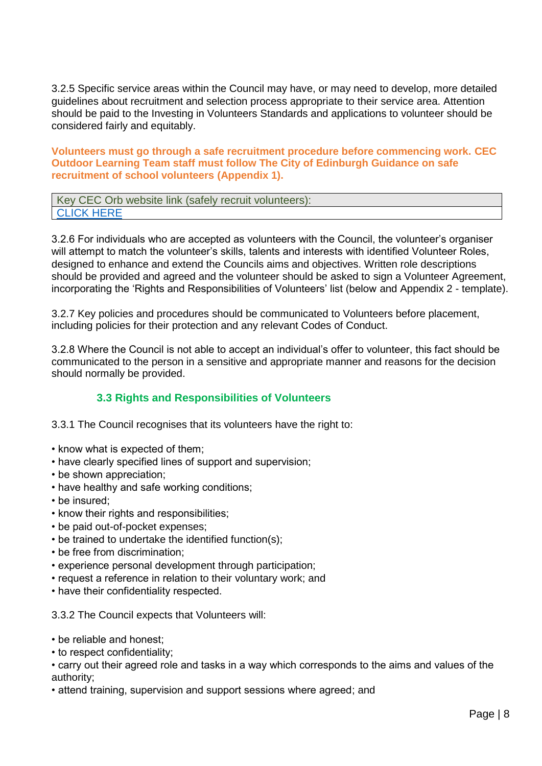3.2.5 Specific service areas within the Council may have, or may need to develop, more detailed guidelines about recruitment and selection process appropriate to their service area. Attention should be paid to the Investing in Volunteers Standards and applications to volunteer should be considered fairly and equitably.

**Volunteers must go through a safe recruitment procedure before commencing work. CEC Outdoor Learning Team staff must follow The City of Edinburgh Guidance on safe recruitment of school volunteers (Appendix 1).** 

| Key CEC Orb website link (safely recruit volunteers): |  |
|-------------------------------------------------------|--|
| <b>CLICK HERE</b>                                     |  |

3.2.6 For individuals who are accepted as volunteers with the Council, the volunteer's organiser will attempt to match the volunteer's skills, talents and interests with identified Volunteer Roles, designed to enhance and extend the Councils aims and objectives. Written role descriptions should be provided and agreed and the volunteer should be asked to sign a Volunteer Agreement, incorporating the 'Rights and Responsibilities of Volunteers' list (below and Appendix 2 - template).

3.2.7 Key policies and procedures should be communicated to Volunteers before placement, including policies for their protection and any relevant Codes of Conduct.

3.2.8 Where the Council is not able to accept an individual's offer to volunteer, this fact should be communicated to the person in a sensitive and appropriate manner and reasons for the decision should normally be provided.

### **3.3 Rights and Responsibilities of Volunteers**

<span id="page-7-0"></span>3.3.1 The Council recognises that its volunteers have the right to:

- know what is expected of them;
- have clearly specified lines of support and supervision;
- be shown appreciation;
- have healthy and safe working conditions;
- be insured;
- know their rights and responsibilities;
- be paid out-of-pocket expenses;
- be trained to undertake the identified function(s);
- be free from discrimination;
- experience personal development through participation;
- request a reference in relation to their voluntary work; and
- have their confidentiality respected.

#### 3.3.2 The Council expects that Volunteers will:

- be reliable and honest;
- to respect confidentiality;

• carry out their agreed role and tasks in a way which corresponds to the aims and values of the authority;

• attend training, supervision and support sessions where agreed; and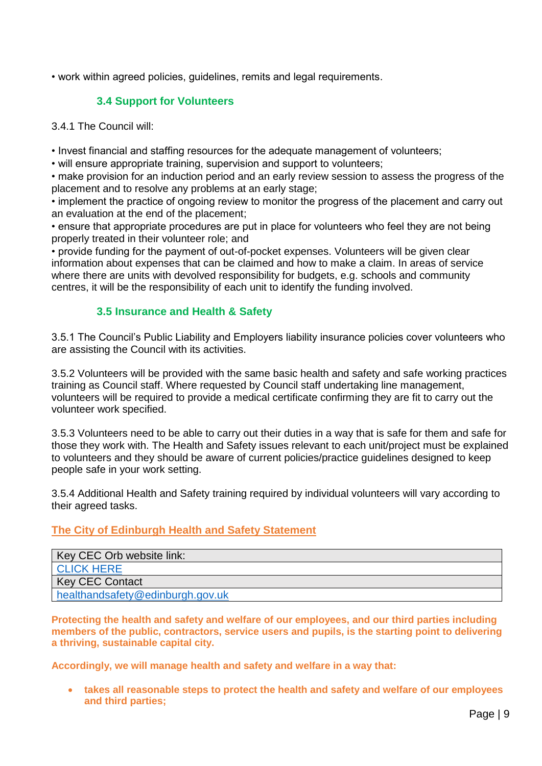<span id="page-8-0"></span>• work within agreed policies, guidelines, remits and legal requirements.

### **3.4 Support for Volunteers**

3.4.1 The Council will:

• Invest financial and staffing resources for the adequate management of volunteers;

• will ensure appropriate training, supervision and support to volunteers;

• make provision for an induction period and an early review session to assess the progress of the placement and to resolve any problems at an early stage;

• implement the practice of ongoing review to monitor the progress of the placement and carry out an evaluation at the end of the placement;

• ensure that appropriate procedures are put in place for volunteers who feel they are not being properly treated in their volunteer role; and

• provide funding for the payment of out-of-pocket expenses. Volunteers will be given clear information about expenses that can be claimed and how to make a claim. In areas of service where there are units with devolved responsibility for budgets, e.g. schools and community centres, it will be the responsibility of each unit to identify the funding involved.

### **3.5 Insurance and Health & Safety**

<span id="page-8-1"></span>3.5.1 The Council's Public Liability and Employers liability insurance policies cover volunteers who are assisting the Council with its activities.

3.5.2 Volunteers will be provided with the same basic health and safety and safe working practices training as Council staff. Where requested by Council staff undertaking line management, volunteers will be required to provide a medical certificate confirming they are fit to carry out the volunteer work specified.

3.5.3 Volunteers need to be able to carry out their duties in a way that is safe for them and safe for those they work with. The Health and Safety issues relevant to each unit/project must be explained to volunteers and they should be aware of current policies/practice guidelines designed to keep people safe in your work setting.

3.5.4 Additional Health and Safety training required by individual volunteers will vary according to their agreed tasks.

### **The City of Edinburgh Health and Safety Statement**

| Key CEC Orb website link:        |
|----------------------------------|
| <b>CLICK HERE</b>                |
| Key CEC Contact                  |
| healthandsafety@edinburgh.gov.uk |

**Protecting the health and safety and welfare of our employees, and our third parties including members of the public, contractors, service users and pupils, is the starting point to delivering a thriving, sustainable capital city.** 

**Accordingly, we will manage health and safety and welfare in a way that:** 

• **takes all reasonable steps to protect the health and safety and welfare of our employees and third parties;**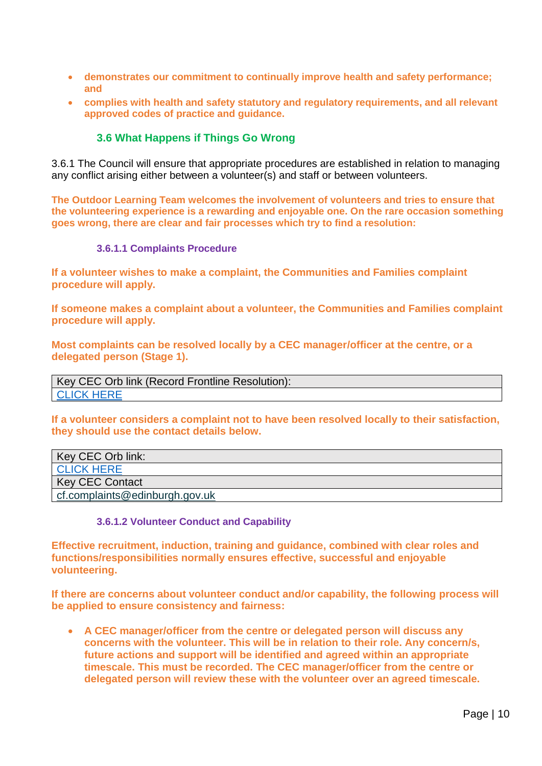- **demonstrates our commitment to continually improve health and safety performance; and**
- **complies with health and safety statutory and regulatory requirements, and all relevant approved codes of practice and guidance.**

#### **3.6 What Happens if Things Go Wrong**

<span id="page-9-0"></span>3.6.1 The Council will ensure that appropriate procedures are established in relation to managing any conflict arising either between a volunteer(s) and staff or between volunteers.

**The Outdoor Learning Team welcomes the involvement of volunteers and tries to ensure that the volunteering experience is a rewarding and enjoyable one. On the rare occasion something goes wrong, there are clear and fair processes which try to find a resolution:**

#### **3.6.1.1 Complaints Procedure**

**If a volunteer wishes to make a complaint, the Communities and Families complaint procedure will apply.** 

**If someone makes a complaint about a volunteer, the Communities and Families complaint procedure will apply.** 

**Most complaints can be resolved locally by a CEC manager/officer at the centre, or a delegated person (Stage 1).** 

Key CEC Orb link (Record Frontline Resolution): [CLICK HERE](https://orb.edinburgh.gov.uk/forms/form/64/en/children_and_families_frontline_resolution_record)

**If a volunteer considers a complaint not to have been resolved locally to their satisfaction, they should use the contact details below.** 

| Key CEC Orb link:                         |
|-------------------------------------------|
| <b>CLICK HERE</b>                         |
| Key CEC Contact                           |
| $\epsilon$ cf.complaints@edinburgh.gov.uk |

#### **3.6.1.2 Volunteer Conduct and Capability**

**Effective recruitment, induction, training and guidance, combined with clear roles and functions/responsibilities normally ensures effective, successful and enjoyable volunteering.** 

**If there are concerns about volunteer conduct and/or capability, the following process will be applied to ensure consistency and fairness:**

• **A CEC manager/officer from the centre or delegated person will discuss any concerns with the volunteer. This will be in relation to their role. Any concern/s, future actions and support will be identified and agreed within an appropriate timescale. This must be recorded. The CEC manager/officer from the centre or delegated person will review these with the volunteer over an agreed timescale.**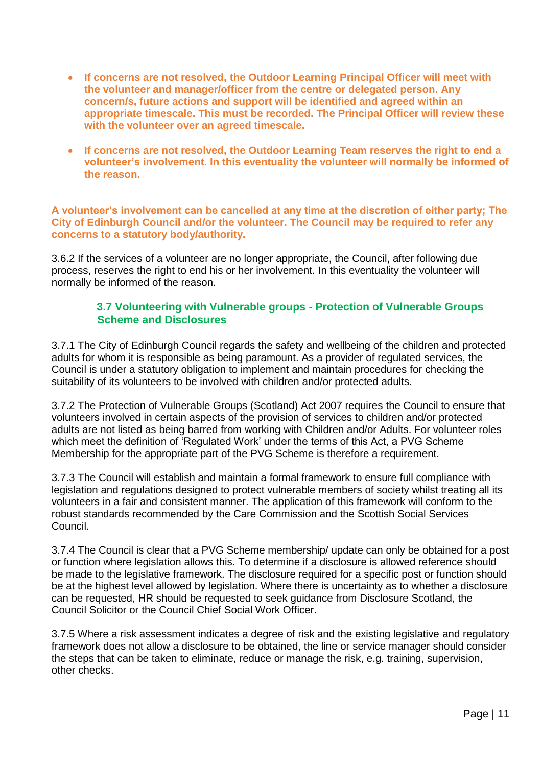- **If concerns are not resolved, the Outdoor Learning Principal Officer will meet with the volunteer and manager/officer from the centre or delegated person. Any concern/s, future actions and support will be identified and agreed within an appropriate timescale. This must be recorded. The Principal Officer will review these with the volunteer over an agreed timescale.**
- **If concerns are not resolved, the Outdoor Learning Team reserves the right to end a volunteer's involvement. In this eventuality the volunteer will normally be informed of the reason.**

**A volunteer's involvement can be cancelled at any time at the discretion of either party; The City of Edinburgh Council and/or the volunteer. The Council may be required to refer any concerns to a statutory body/authority.** 

3.6.2 If the services of a volunteer are no longer appropriate, the Council, after following due process, reserves the right to end his or her involvement. In this eventuality the volunteer will normally be informed of the reason.

#### **3.7 Volunteering with Vulnerable groups - Protection of Vulnerable Groups Scheme and Disclosures**

<span id="page-10-0"></span>3.7.1 The City of Edinburgh Council regards the safety and wellbeing of the children and protected adults for whom it is responsible as being paramount. As a provider of regulated services, the Council is under a statutory obligation to implement and maintain procedures for checking the suitability of its volunteers to be involved with children and/or protected adults.

3.7.2 The Protection of Vulnerable Groups (Scotland) Act 2007 requires the Council to ensure that volunteers involved in certain aspects of the provision of services to children and/or protected adults are not listed as being barred from working with Children and/or Adults. For volunteer roles which meet the definition of 'Regulated Work' under the terms of this Act, a PVG Scheme Membership for the appropriate part of the PVG Scheme is therefore a requirement.

3.7.3 The Council will establish and maintain a formal framework to ensure full compliance with legislation and regulations designed to protect vulnerable members of society whilst treating all its volunteers in a fair and consistent manner. The application of this framework will conform to the robust standards recommended by the Care Commission and the Scottish Social Services Council.

3.7.4 The Council is clear that a PVG Scheme membership/ update can only be obtained for a post or function where legislation allows this. To determine if a disclosure is allowed reference should be made to the legislative framework. The disclosure required for a specific post or function should be at the highest level allowed by legislation. Where there is uncertainty as to whether a disclosure can be requested, HR should be requested to seek guidance from Disclosure Scotland, the Council Solicitor or the Council Chief Social Work Officer.

3.7.5 Where a risk assessment indicates a degree of risk and the existing legislative and regulatory framework does not allow a disclosure to be obtained, the line or service manager should consider the steps that can be taken to eliminate, reduce or manage the risk, e.g. training, supervision, other checks.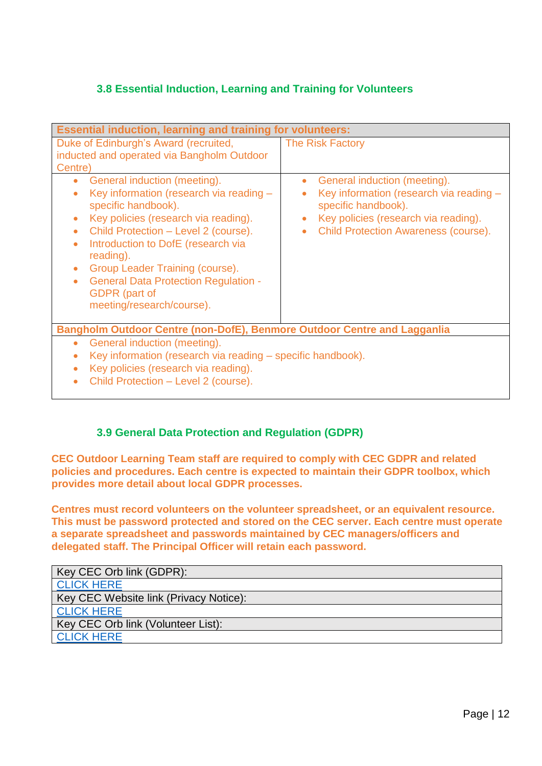## **3.8 Essential Induction, Learning and Training for Volunteers**

<span id="page-11-0"></span>

| <b>Essential induction, learning and training for volunteers:</b>                                                                                                                                                                                                                                                                                                                                  |                                                                                                                                                                                                    |
|----------------------------------------------------------------------------------------------------------------------------------------------------------------------------------------------------------------------------------------------------------------------------------------------------------------------------------------------------------------------------------------------------|----------------------------------------------------------------------------------------------------------------------------------------------------------------------------------------------------|
| Duke of Edinburgh's Award (recruited,<br>inducted and operated via Bangholm Outdoor<br>Centre)                                                                                                                                                                                                                                                                                                     | <b>The Risk Factory</b>                                                                                                                                                                            |
| General induction (meeting).<br>$\bullet$<br>Key information (research via reading -<br>specific handbook).<br>Key policies (research via reading).<br>$\bullet$<br>Child Protection - Level 2 (course).<br>Introduction to DofE (research via<br>reading).<br>Group Leader Training (course).<br><b>General Data Protection Regulation -</b><br><b>GDPR</b> (part of<br>meeting/research/course). | General induction (meeting).<br>Key information (research via reading -<br>specific handbook).<br>Key policies (research via reading).<br>$\bullet$<br><b>Child Protection Awareness (course).</b> |
| Bangholm Outdoor Centre (non-DofE), Benmore Outdoor Centre and Lagganlia                                                                                                                                                                                                                                                                                                                           |                                                                                                                                                                                                    |
| General induction (meeting).<br>۰<br>Key information (research via reading – specific handbook).<br>Key policies (research via reading).<br>Child Protection - Level 2 (course).                                                                                                                                                                                                                   |                                                                                                                                                                                                    |

### **3.9 General Data Protection and Regulation (GDPR)**

<span id="page-11-1"></span>**CEC Outdoor Learning Team staff are required to comply with CEC GDPR and related policies and procedures. Each centre is expected to maintain their GDPR toolbox, which provides more detail about local GDPR processes.** 

**Centres must record volunteers on the volunteer spreadsheet, or an equivalent resource. This must be password protected and stored on the CEC server. Each centre must operate a separate spreadsheet and passwords maintained by CEC managers/officers and delegated staff. The Principal Officer will retain each password.** 

| Key CEC Orb link (GDPR):               |
|----------------------------------------|
| <b>CLICK HERE</b>                      |
| Key CEC Website link (Privacy Notice): |
| <b>CLICK HERE</b>                      |
| Key CEC Orb link (Volunteer List):     |
| <b>CLICK HERE</b>                      |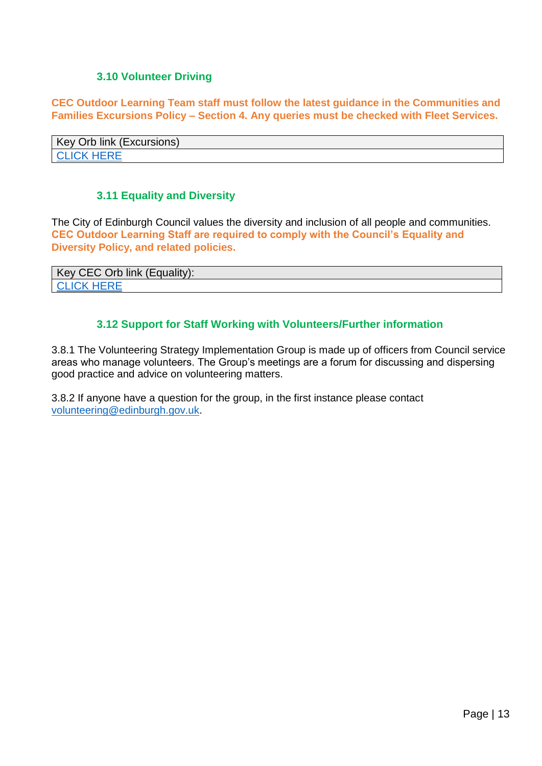#### **3.10 Volunteer Driving**

<span id="page-12-0"></span>**CEC Outdoor Learning Team staff must follow the latest guidance in the Communities and Families Excursions Policy – Section 4. Any queries must be checked with Fleet Services.** 

| Iink (Excursions)<br>Key<br>Orb |  |
|---------------------------------|--|
|                                 |  |

#### **3.11 Equality and Diversity**

<span id="page-12-1"></span>The City of Edinburgh Council values the diversity and inclusion of all people and communities. **CEC Outdoor Learning Staff are required to comply with the Council's Equality and Diversity Policy, and related policies.** 

Key CEC Orb link (Equality): [CLICK HERE](https://orb.edinburgh.gov.uk/info/200238/equalities)

#### **3.12 Support for Staff Working with Volunteers/Further information**

<span id="page-12-2"></span>3.8.1 The Volunteering Strategy Implementation Group is made up of officers from Council service areas who manage volunteers. The Group's meetings are a forum for discussing and dispersing good practice and advice on volunteering matters.

3.8.2 If anyone have a question for the group, in the first instance please contact [volunteering@edinburgh.gov.uk.](mailto:volunteering@edinburgh.gov.uk)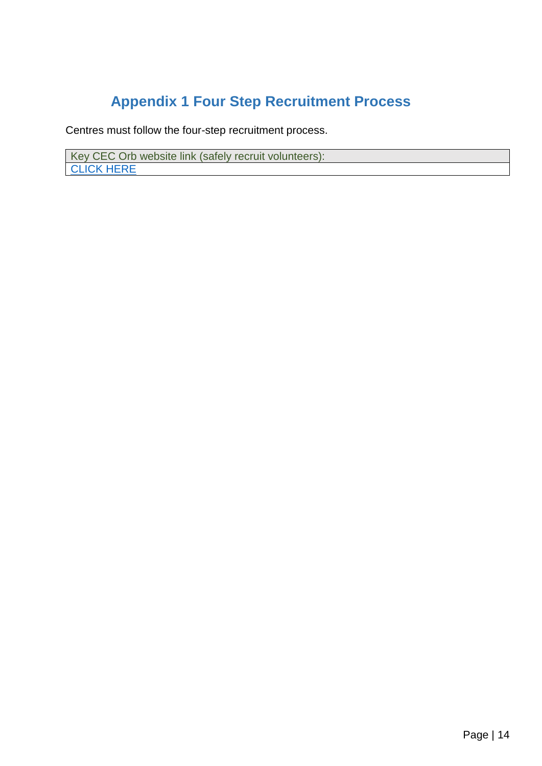# **Appendix 1 Four Step Recruitment Process**

<span id="page-13-0"></span>Centres must follow the four-step recruitment process.

Key CEC Orb website link (safely recruit volunteers): **[CLICK HERE](https://orb.edinburgh.gov.uk/info/200245/recruitment_and_selection/1455/pvg_and_school_volunteers)**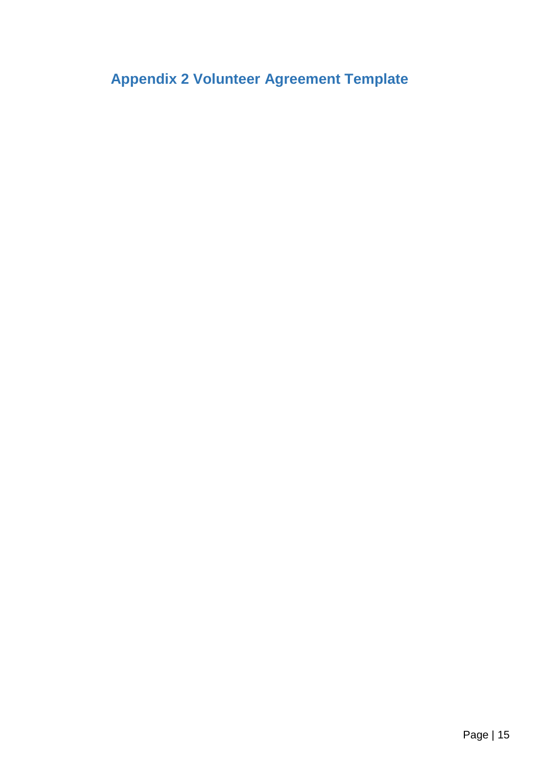<span id="page-14-0"></span>**Appendix 2 Volunteer Agreement Template**